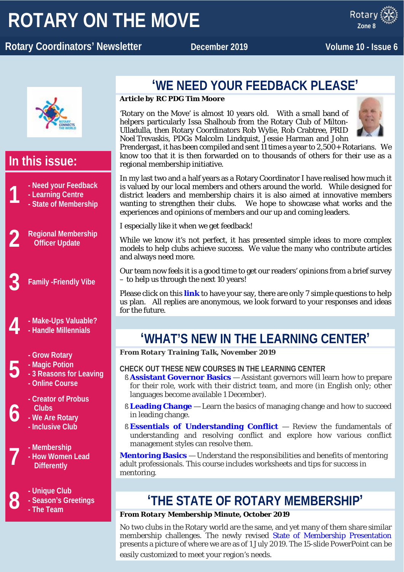# **ROTARY ON THE MOVE**

x ROTARY **Rotary Coordinators' Newsletter and December 2019 Molume 10 - Issue 6** 

Rotar **Zone 8**



### **In this issue:**

- **1 - Need your Feedback - State of Membership**
	- **- Learning Centre**
	-
- **2 Regional Membership Officer Update**

**3 Family -Friendly Vibe**

- **4 - Make-Ups Valuable?**
- **- Handle Millennials**
	- **- Grow Rotary**
	- **- Magic Potion**

**5**

**6**

- **- 3 Reasons for Leaving**
	- **- Online Course**
	- **- Creator of Probus Clubs**
	- **- We Are Rotary**
	- **- Inclusive Club**
- 
- **7 -** Membership<br>**7 -** How Women<br>Differently **- How Women Lead Differently**
- **8 c**  $\cdot$  **C**  $\cdot$  **- Season's Gr c**  $\cdot$  **- The Team** 
	- **- Season's Greetings**
	- **- The Team**

### **'WE NEED YOUR FEEDBACK PLEASE'**

### *Article by RC PDG Tim Moore*

'Rotary on the Move' is almost 10 years old. With a small band of helpers particularly Issa Shalhoub from the Rotary Club of Milton-Ulladulla, then Rotary Coordinators Rob Wylie, Rob Crabtree, PRID Noel Trevaskis, PDGs Malcolm Lindquist, Jessie Harman and John



Prendergast, it has been compiled and sent 11 times a year to 2,500+ Rotarians. We know too that it is then forwarded on to thousands of others for their use as a regional membership initiative.

In my last two and a half years as a Rotary Coordinator I have realised how much it is valued by our local members and others around the world. While designed for district leaders and membership chairs it is also aimed at innovative members wanting to strengthen their clubs. We hope to showcase what works and the experiences and opinions of members and our up and coming leaders.

I especially like it when we get feedback!

While we know it's not perfect, it has presented simple ideas to more complex models to help clubs achieve success. We value the many who contribute articles and always need more.

Our team now feels it is a good time to get our readers' opinions from a brief survey – to help us through the next 10 years!

Please click on this **[link](https://www.surveymonkey.com/r/N99CMM5)** to have your say, there are only 7 simple questions to help us plan. All replies are anonymous, we look forward to your responses and ideas for the future.

## **'WHAT'S NEW IN THE LEARNING CENTER'**

*From Rotary Training Talk, November 2019*

### **CHECK OUT THESE NEW COURSES IN THE LEARNING CENTER**

- § **[Assistant Governor Basics](http://msgfocus.rotary.org/c/16RfK9acobmlSd4k9FCzfY6dTPM)** Assistant governors will learn how to prepare for their role, work with their district team, and more (in English only; other languages become available 1 December).
- § **[Leading Change](http://msgfocus.rotary.org/c/16RfKgWV30wQPE7SiPaDMmSweKZ)** Learn the basics of managing change and how to succeed in leading change.
- § **[Essentials of Understanding Conflict](http://msgfocus.rotary.org/c/16RfKoJDHPHlN5bqrYIIiLEOzGc)** Review the fundamentals of understanding and resolving conflict and explore how various conflict management styles can resolve them.

**[Mentoring Basics](http://msgfocus.rotary.org/c/16RfKwwmmERQKweYB8gMPar6UBp)** — Understand the responsibilities and benefits of mentoring adult professionals. This course includes worksheets and tips for success in mentoring.

### **'THE STATE OF ROTARY MEMBERSHIP'**

### *From Rotary Membership Minute, October 2019*

No two clubs in the Rotary world are the same, and yet many of them share similar membership challenges. The newly revised [State of Membership Presentation](http://msgfocus.rotary.org/c/16yUQOnmkqG5ep5xjg0nHGpdLJ6) presents a picture of where we are as of 1 July 2019. The 15-slide PowerPoint can be easily customized to meet your region's needs.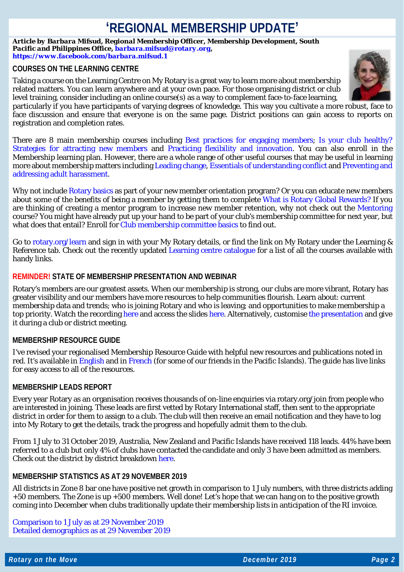### **'REGIONAL MEMBERSHIP UPDATE'**

*Article by Barbara Mifsud, Regional Membership Officer, Membership Development, South Pacific and Philippines Office[, barbara.mifsud@rotary.org,](mailto:barbara.mifsud@rotary.org) <https://www.facebook.com/barbara.mifsud.1>*

### **COURSES ON THE LEARNING CENTRE**

Taking a course on the Learning Centre on My Rotary is a great way to learn more about membership related matters. You can learn anywhere and at your own pace. For those organising district or club level training, consider including an online course(s) as a way to complement face-to-face learning,



particularly if you have participants of varying degrees of knowledge. This way you cultivate a more robust, face to face discussion and ensure that everyone is on the same page. District positions can gain access to reports on registration and completion rates.

There are 8 main membership courses including [Best practices for engaging members;](https://my.rotary.org/learn?deep-link=https%3A//learn.rotary.org/members%3Fr%3Dsite/sso%26sso_type%3Dsaml%26id_course%3D94) [Is your club healthy?](https://my.rotary.org/learn?deep-link=https%3A//learn.rotary.org/members%3Fr%3Dsite/sso%26sso_type%3Dsaml%26id_course%3D107) [Strategies for attracting new members](https://my.rotary.org/learn?deep-link=https%3A//learn.rotary.org/members%3Fr%3Dsite/sso%26sso_type%3Dsaml%26id_course%3D95) and [Practicing flexibility and innovation.](https://my.rotary.org/learn?deep-link=https%3A//learn.rotary.org/members%3Fr%3Dsite/sso%26sso_type%3Dsaml%26id_course%3D60) You can also enroll in the Membership learning plan. However, there are a whole range of other useful courses that may be useful in learning more about membership matters including [Leading change,](https://learn.rotary.org/members/learn/course/551/leading-change) [Essentials of understanding conflict](https://my.rotary.org/learn?deep-link=https%3A//learn.rotary.org/members/learn/course/internal/view/elearning/627/essentials-of-understanding-conflict) an[d Preventing and](https://my.rotary.org/learn?deep-link=https%3A//learn.rotary.org/members/learn/course/575/preventing-and-addressing-harassment)  [addressing adult harassment.](https://my.rotary.org/learn?deep-link=https%3A//learn.rotary.org/members/learn/course/575/preventing-and-addressing-harassment)

Why not include [Rotary basics](https://my.rotary.org/learn?deep-link=https%3A//learn.rotary.org/members/learn/course/internal/view/elearning/524/rotary-basics) as part of your new member orientation program? Or you can educate new members about some of the benefits of being a member by getting them to complete [What is Rotary Global Rewards?](https://my.rotary.org/learn?deep-link=https%3A//learn.rotary.org/members/learn/course/internal/view/elearning/456/what-is-rotary-global-rewards) If you are thinking of creating a mentor program to increase new member retention, why not check out the [Mentoring](https://my.rotary.org/learn?deep-link=https%3A//learn.rotary.org/members/learn/course/618/mentoring) course? You might have already put up your hand to be part of your club's membership committee for next year, but what does that entail? Enroll for [Club membership committee basics](https://my.rotary.org/learn?deep-link=https%3A//learn.rotary.org/members/learn/learning_plan/view/8/club-membership-committee-basics) to find out.

Go to [rotary.org/learn](https://www.rotary.org/learn) and sign in with your My Rotary details, or find the link on My Rotary under the Learning & Reference tab. Check out the recently updated [Learning centre catalogue](https://my.rotary.org/document/learning-center-course-catalog?fbclid=IwAR1P3BPXfpG_0_JPSh4eO-yYIUb9_XI1FqWTq5gTaSk1leBIivWX8w22rao) for a list of all the courses available with handy links.

### **REMINDER! STATE OF MEMBERSHIP PRESENTATION AND WEBINAR**

Rotary's members are our greatest assets. When our membership is strong, our clubs are more vibrant, Rotary has greater visibility and our members have more resources to help communities flourish. Learn about: current membership data and trends; who is joining Rotary and who is leaving; and opportunities to make membership a top priority. Watch the recordin[g here](https://vimeo.com/channels/rotarymembership/368648186) and access the slides [here.](https://www.slideshare.net/Rotary_International/state-of-membership) Alternatively, customise [the presentation](https://my.rotary.org/document/state-membership-presentation-july) and give it during a club or district meeting.

### **MEMBERSHIP RESOURCE GUIDE**

I've revised your regionalised Membership Resource Guide with helpful new resources and publications noted in red. It's available in [English](https://www.dropbox.com/s/nrjnqdsn6o9smgc/20191128%20-%20MembershipResourceGuide_Zone%208%20-%20November%202019.docx?dl=0) and in [French](https://www.dropbox.com/s/hfhhlku3v63p1zm/20191128%20-%20MembershipResourceGuide_Zone%208%20-%20November%202019%20-%20FR.docx?dl=0) (for some of our friends in the Pacific Islands). The guide has live links for easy access to all of the resources.

#### **MEMBERSHIP LEADS REPORT**

Every year Rotary as an organisation receives thousands of on-line enquiries via rotary.org/join from people who are interested in joining. These leads are first vetted by Rotary International staff, then sent to the appropriate district in order for them to assign to a club. The club will then receive an email notification and they have to log into My Rotary to get the details, track the progress and hopefully admit them to the club.

From 1 July to 31 October 2019, Australia, New Zealand and Pacific Islands have received 118 leads. 44% have been referred to a club but only 4% of clubs have contacted the candidate and only 3 have been admitted as members. Check out the district by district breakdown [here.](https://www.dropbox.com/s/uwr49wj9nihoxbc/20191107%20-%20Australia%20New%20Zealand%20Pacific%20Islands%20-%20RMO_Membership_Leads_Success_Report%20as%20at%2031%20October%202019.pdf?dl=0)

#### **MEMBERSHIP STATISTICS AS AT 29 NOVEMBER 2019**

All districts in Zone 8 bar one have positive net growth in comparison to 1 July numbers, with three districts adding +50 members. The Zone is up +500 members. Well done! Let's hope that we can hang on to the positive growth coming into December when clubs traditionally update their membership lists in anticipation of the RI invoice.

[Comparison to 1 July as at 29 November 2019](https://www.dropbox.com/s/elk4ydjiivuhryv/20191129%20-%20COMPARISON_TO_1_JULY%20-%20Zone%208.pdf?dl=0) [Detailed demographics as at 29 November 2019](https://www.dropbox.com/s/n7krbedqzy7c62o/20191129%20-%20DISTRICT_MEMBERSHIP_PROGRESS_TO_GOAL%20-%20Zone%208.pdf?dl=0)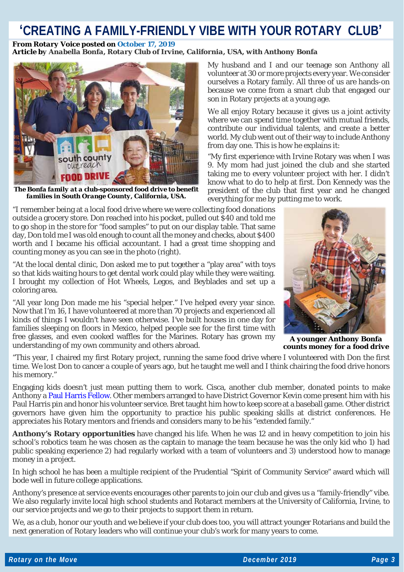### **'CREATING A FAMILY-FRIENDLY VIBE WITH YOUR ROTARY CLUB'**

#### *From Rotary Voice posted on [October](https://blog.rotary.org/2019/10/17/creating-a-family-friendly-vibe-with-your-rotary-club/) 17, 2019 Article by Anabella Bonfa, Rotary Club of Irvine, California, USA, with Anthony Bonfa*



*The Bonfa family at a club-sponsored food drive to benefit families in South Orange County, California, USA.*

"I remember being at a local food drive where we were collecting food donations outside a grocery store. Don reached into his pocket, pulled out \$40 and told me to go shop in the store for "food samples" to put on our display table. That same day, Don told me I was old enough to count all the money and checks, about \$400 worth and I became his official accountant. I had a great time shopping and counting money as you can see in the photo (right).

"At the local dental clinic, Don asked me to put together a "play area" with toys so that kids waiting hours to get dental work could play while they were waiting. I brought my collection of Hot Wheels, Legos, and Beyblades and set up a coloring area.

"All year long Don made me his "special helper." I've helped every year since. Now that I'm 16, I have volunteered at more than 70 projects and experienced all kinds of things I wouldn't have seen otherwise. I've built houses in one day for families sleeping on floors in Mexico, helped people see for the first time with free glasses, and even cooked waffles for the Marines. Rotary has grown my iffer glasses, and even cooked wattles for the Marines. Rotary has grown my *A younger Anthony Bonfa*<br> **A younger Anthony Bonfa a** food driver a food driver and others abroad.

My husband and I and our teenage son Anthony all volunteer at 30 or more projects every year. We consider ourselves a Rotary family. All three of us are hands-on because we come from a smart club that engaged our son in Rotary projects at a young age.

We all enjoy Rotary because it gives us a joint activity where we can spend time together with mutual friends, contribute our individual talents, and create a better world. My club went out of their way to include Anthony from day one. This is how he explains it:

"My first experience with Irvine Rotary was when I was 9. My mom had just joined the club and she started taking me to every volunteer project with her. I didn't know what to do to help at first. Don Kennedy was the president of the club that first year and he changed everything for me by putting me to work.



*counts money for a food drive*

"This year, I chaired my first Rotary project, running the same food drive where I volunteered with Don the first time. We lost Don to cancer a couple of years ago, but he taught me well and I think chairing the food drive honors his memory."

Engaging kids doesn't just mean putting them to work. Cisca, another club member, donated points to make Anthony a Paul Harris [Fellow.](https://www.rotary.org/en/about-rotary/history/paul-harris-society) Other members arranged to have District Governor Kevin come present him with his Paul Harris pin and honor his volunteer service. Bret taught him how to keep score at a baseball game. Other district governors have given him the opportunity to practice his public speaking skills at district conferences. He appreciates his Rotary mentors and friends and considers many to be his "extended family."

**Anthony's Rotary opportunities** have changed his life. When he was 12 and in heavy competition to join his school's robotics team he was chosen as the captain to manage the team because he was the only kid who 1) had public speaking experience 2) had regularly worked with a team of volunteers and 3) understood how to manage money in a project.

In high school he has been a multiple recipient of the Prudential "Spirit of Community Service" award which will bode well in future college applications.

Anthony's presence at service events encourages other parents to join our club and gives us a "family-friendly" vibe. We also regularly invite local high school students and Rotaract members at the University of California, Irvine, to our service projects and we go to their projects to support them in return.

We, as a club, honor our youth and we believe if your club does too, you will attract younger Rotarians and build the next generation of Rotary leaders who will continue your club's work for many years to come.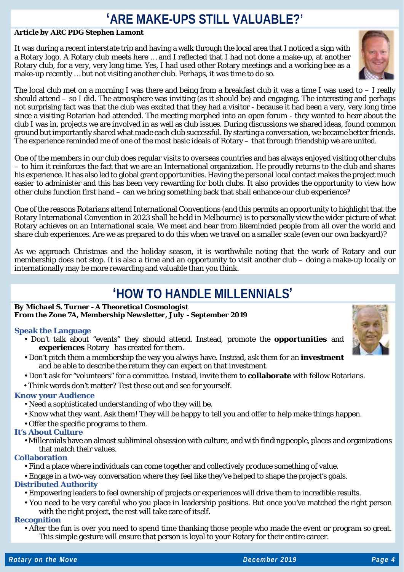### **'ARE MAKE-UPS STILL VALUABLE?'**

### *Article by ARC PDG Stephen Lamont*

It was during a recent interstate trip and having a walk through the local area that I noticed a sign with a Rotary logo. A Rotary club meets here … and I reflected that I had not done a make-up, at another Rotary club, for a very, very long time. Yes, I had used other Rotary meetings and a working bee as a make-up recently … but not visiting another club. Perhaps, it was time to do so.



The local club met on a morning I was there and being from a breakfast club it was a time I was used to – I really should attend – so I did. The atmosphere was inviting (as it should be) and engaging. The interesting and perhaps not surprising fact was that the club was excited that they had a visitor - because it had been a very, very long time since a visiting Rotarian had attended. The meeting morphed into an open forum - they wanted to hear about the club I was in, projects we are involved in as well as club issues. During discussions we shared ideas, found common ground but importantly shared what made each club successful. By starting a conversation, we became better friends. The experience reminded me of one of the most basic ideals of Rotary – that through friendship we are united.

One of the members in our club does regular visits to overseas countries and has always enjoyed visiting other clubs – to him it reinforces the fact that we are an International organization. He proudly returns to the club and shares his experience. It has also led to global grant opportunities. Having the personal local contact makes the project much easier to administer and this has been very rewarding for both clubs. It also provides the opportunity to view how other clubs function first hand – can we bring something back that shall enhance our club experience?

One of the reasons Rotarians attend International Conventions (and this permits an opportunity to highlight that the Rotary International Convention in 2023 shall be held in Melbourne) is to personally view the wider picture of what Rotary achieves on an International scale. We meet and hear from likeminded people from all over the world and share club experiences. Are we as prepared to do this when we travel on a smaller scale (even our own backyard)?

As we approach Christmas and the holiday season, it is worthwhile noting that the work of Rotary and our membership does not stop. It is also a time and an opportunity to visit another club – doing a make-up locally or internationally may be more rewarding and valuable than you think.

### **'HOW TO HANDLE MILLENNIALS'**

#### *By Michael S. Turner - A Theoretical Cosmologist From the Zone 7A, Membership Newsletter, July - September 2019*

#### **Speak the Language**

- Don't talk about "events" they should attend. Instead, promote the **opportunities** and **experiences** Rotary has created for them.
- Don't pitch them a membership the way you always have. Instead, ask them for an **investment**  and be able to describe the return they can expect on that investment.
- Don't ask for "volunteers" for a committee. Instead, invite them to **collaborate** with fellow Rotarians.
- Think words don't matter? Test these out and see for yourself.

### **Know your Audience**

- Need a sophisticated understanding of who they will be.
- Know what they want. Ask them! They will be happy to tell you and offer to help make things happen.
- Offer the specific programs to them.

### **It's About Culture**

• Millennials have an almost subliminal obsession with culture, and with finding people, places and organizations that match their values.

### **Collaboration**

• Find a place where individuals can come together and collectively produce something of value.

• Engage in a two-way conversation where they feel like they've helped to shape the project's goals.

#### **Distributed Authority**

- Empowering leaders to feel ownership of projects or experiences will drive them to incredible results.
- You need to be very careful who you place in leadership positions. But once you've matched the right person with the right project, the rest will take care of itself.

#### **Recognition**

• After the fun is over you need to spend time thanking those people who made the event or program so great. This simple gesture will ensure that person is loyal to your Rotary for their entire career.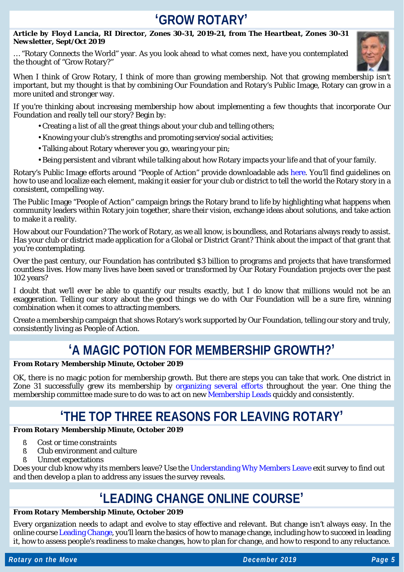### **'GROW ROTARY'**

#### *Article by Floyd Lancia, RI Director, Zones 30-31, 2019-21, from The Heartbeat, Zones 30-31 Newsletter, Sept/Oct 2019*

… "Rotary Connects the World" year. As you look ahead to what comes next, have you contemplated the thought of "Grow Rotary?"



When I think of Grow Rotary, I think of more than growing membership. Not that growing membership isn't important, but my thought is that by combining Our Foundation and Rotary's Public Image, Rotary can grow in a more united and stronger way.

If you're thinking about increasing membership how about implementing a few thoughts that incorporate Our Foundation and really tell our story? Begin by:

- Creating a list of all the great things about your club and telling others;
- Knowing your club's strengths and promoting service/social activities;
- Talking about Rotary wherever you go, wearing your pin;
- Being persistent and vibrant while talking about how Rotary impacts your life and that of your family.

Rotary's Public Image efforts around "People of Action" provide downloadable ads [here.](https://brandcenter.rotary.org/en-GB) You'll find guidelines on how to use and localize each element, making it easier for your club or district to tell the world the Rotary story in a consistent, compelling way.

The Public Image "People of Action" campaign brings the Rotary brand to life by highlighting what happens when community leaders within Rotary join together, share their vision, exchange ideas about solutions, and take action to make it a reality.

How about our Foundation? The work of Rotary, as we all know, is boundless, and Rotarians always ready to assist. Has your club or district made application for a Global or District Grant? Think about the impact of that grant that you're contemplating.

Over the past century, our Foundation has contributed \$3 billion to programs and projects that have transformed countless lives. How many lives have been saved or transformed by Our Rotary Foundation projects over the past 102 years?

I doubt that we'll ever be able to quantify our results exactly, but I do know that millions would not be an exaggeration. Telling our story about the good things we do with Our Foundation will be a sure fire, winning combination when it comes to attracting members.

Create a membership campaign that shows Rotary's work supported by Our Foundation, telling our story and truly, consistently living as People of Action.

## **'A MAGIC POTION FOR MEMBERSHIP GROWTH?'**

#### *From Rotary Membership Minute, October 2019*

OK, there is no magic potion for membership growth. But there are steps you can take that work. One district in Zone 31 successfully grew its membership by [organizing several efforts](http://msgfocus.rotary.org/c/16yUROF7B224TTxWuuoXSSDAt6M) throughout the year. One thing the membership committee made sure to do was to act on new [Membership Leads](http://msgfocus.rotary.org/c/16yURWrQfRczRkBuDDX2phpSO1Z) quickly and consistently.

### **'THE TOP THREE REASONS FOR LEAVING ROTARY'**

### *From Rotary Membership Minute, October 2019*

- § Cost or time constraints
- § Club environment and culture
- § Unmet expectations

Does your club know why its members leave? Use the [Understanding Why Members Leave](http://msgfocus.rotary.org/c/16yUQGADFBvAgY1Za6sjbhCVqNT) exit survey to find out and then develop a plan to address any issues the survey reveals.

### **'LEADING CHANGE ONLINE COURSE'**

#### *From Rotary Membership Minute, October 2019*

Every organization needs to adapt and evolve to stay effective and relevant. But change isn't always easy. In the online cours[e Leading Change,](http://msgfocus.rotary.org/c/16yURjweXJm549jJTScFNhwp7pW) you'll learn the basics of how to manage change, including how to succeed in leading it, how to assess people's readiness to make changes, how to plan for change, and how to respond to any reluctance.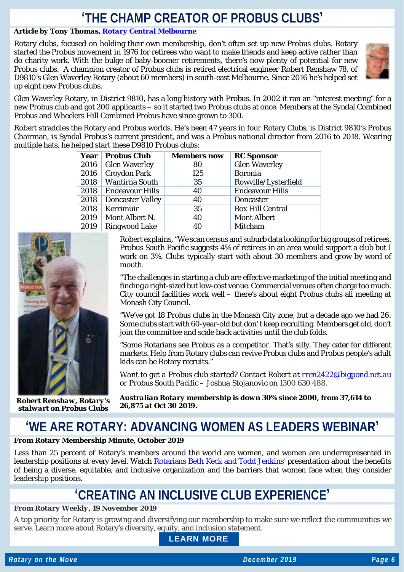### **'THE CHAMP CREATOR OF PROBUS CLUBS'**

### *Article by Tony Thomas, [Rotary Central Melbourne](https://www.rotaryclubcentralmelbourne.org.au/)*

Rotary clubs, focused on holding their own membership, don't often set up new Probus clubs. Rotary started the Probus movement in 1976 for retirees who want to make friends and keep active rather than do charity work. With the bulge of baby-boomer retirements, there's now plenty of potential for new Probus clubs. A champion creator of Probus clubs is retired electrical engineer Robert Renshaw 78, of D9810's Glen Waverley Rotary (about 60 members) in south-east Melbourne. Since 2016 he's helped set up eight new Probus clubs.



Glen Waverley Rotary, in District 9810, has a long history with Probus. In 2002 it ran an "interest meeting" for a new Probus club and got 200 applicants – so it started two Probus clubs at once. Members at the Syndal Combined Probus and Wheelers Hill Combined Probus have since grown to 300.

Robert straddles the Rotary and Probus worlds. He's been 47 years in four Rotary Clubs, is District 9810's Probus Chairman, is Syndal Probus's current president, and was a Probus national director from 2016 to 2018. Wearing multiple hats, he helped start these D9810 Probus clubs:

| Year | <b>Probus Club</b>      | <b>Members now</b> | <b>RC</b> Sponsor       |
|------|-------------------------|--------------------|-------------------------|
| 2016 | <b>Glen Waverley</b>    | 80                 | <b>Glen Waverley</b>    |
| 2016 | <b>Croydon Park</b>     | 125                | <b>Boronia</b>          |
| 2018 | <b>Wantirna South</b>   | 35                 | Rowville/Lysterfield    |
| 2018 | <b>Endeavour Hills</b>  | 40                 | <b>Endeavour Hills</b>  |
| 2018 | <b>Doncaster Valley</b> | 40                 | <b>Doncaster</b>        |
| 2018 | Kerrimuir               | 35                 | <b>Box Hill Central</b> |
| 2019 | Mont Albert N.          | 40                 | <b>Mont Albert</b>      |
| 2019 | <b>Ringwood Lake</b>    | 40                 | Mitcham                 |



*Robert Renshaw, Rotary's stalwart on Probus Clubs*

Robert explains, "We scan census and suburb data looking for big groups of retirees. Probus South Pacific suggests 4% of retirees in an area would support a club but I work on 3%. Clubs typically start with about 30 members and grow by word of mouth.

"The challenges in starting a club are effective marketing of the initial meeting and finding a right-sized but low-cost venue. Commercial venues often charge too much. City council facilities work well – there's about eight Probus clubs all meeting at Monash City Council.

"We've got 18 Probus clubs in the Monash City zone, but a decade ago we had 26. Some clubs start with 60-year-old but don' t keep recruiting. Members get old, don't join the committee and scale back activities until the club folds.

"Some Rotarians see Probus as a competitor. That's silly. They cater for different markets. Help from Rotary clubs can revive Probus clubs and Probus people's adult kids can be Rotary recruits."

*Want to get a Probus club started? Contact Robert at [rren2422@bigpond.net.au](mailto:rren2422@bigpond.net.au) or Probus South Pacific – Joshua Stojanovic on 1300 630 488.*

*Australian Rotary membership is down 30% since 2000, from 37,614 to 26,875 at Oct 30 2019.*

## **'WE ARE ROTARY: ADVANCING WOMEN AS LEADERS WEBINAR'**

#### *From Rotary Membership Minute, October 2019*

Less than 25 percent of Rotary's members around the world are women, and women are underrepresented in leadership positions at every level. Watch [Rotarians Beth Keck and Todd Jenkins'](http://msgfocus.rotary.org/c/16yURriXCywA1Ani31KKjGiHsl9) presentation about the benefits of being a diverse, equitable, and inclusive organization and the barriers that women face when they consider leadership positions.

### **'CREATING AN INCLUSIVE CLUB EXPERIENCE'**

#### *From Rotary Weekly, 19 November 2019*

A top priority for Rotary is growing and diversifying our membership to make sure we reflect the communities we serve. Learn more about Rotary's diversity, equity, and inclusion statement.

**[LEARN MORE](http://msgfocus.rotary.org/c/16SyAzOTkvJfgsf55C31yKKFTTf)**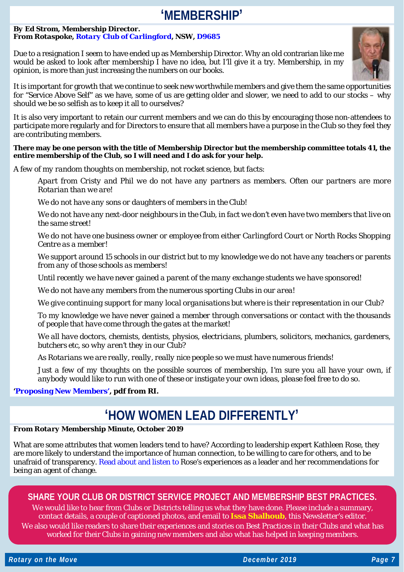### **'MEMBERSHIP'**

#### *By Ed Strom, Membership Director. From Rotaspoke, [Rotary Club of Carlingford,](http://rotarycarlingford.org.au/) NSW, [D9685](https://www.rotarydistrict9685.org.au/)*

Due to a resignation I seem to have ended up as Membership Director. Why an old contrarian like me would be asked to look after membership I have no idea, but I'll give it a try. Membership, in my opinion, is more than just increasing the numbers on our books.



It is important for growth that we continue to seek new worthwhile members and give them the same opportunities for "Service Above Self" as we have, some of us are getting older and slower, we need to add to our stocks – why should we be so selfish as to keep it all to ourselves?

It is also very important to retain our current members and we can do this by encouraging those non-attendees to participate more regularly and for Directors to ensure that all members have a purpose in the Club so they feel they are contributing members.

#### **There may be one person with the title of Membership Director but the membership committee totals 41, the entire membership of the Club, so I will need and I do ask for your help.**

*A few of my random thoughts on membership, not rocket science, but facts:*

*Apart from Cristy and Phil we do not have any partners as members. Often our partners are more Rotarian than we are!*

*We do not have any sons or daughters of members in the Club!*

*We do not have any next-door neighbours in the Club, in fact we don't even have two members that live on the same street!*

*We do not have one business owner or employee from either Carlingford Court or North Rocks Shopping Centre as a member!*

*We support around 15 schools in our district but to my knowledge we do not have any teachers or parents from any of those schools as members!*

*Until recently we have never gained a parent of the many exchange students we have sponsored!*

*We do not have any members from the numerous sporting Clubs in our area!*

*We give continuing support for many local organisations but where is their representation in our Club?*

*To my knowledge we have never gained a member through conversations or contact with the thousands of people that have come through the gates at the market!*

*We all have doctors, chemists, dentists, physios, electricians, plumbers, solicitors, mechanics, gardeners, butchers etc, so why aren't they in our Club?*

*As Rotarians we are really, really, really nice people so we must have numerous friends!*

*Just a few of my thoughts on the possible sources of membership, I'm sure you all have your own, if anybody would like to run with one of these or instigate your own ideas, please feel free to do so.*

### **['Proposing New Members](https://my.rotary.org/en/document/proposing-new-members)', pdf from RI.**

### **'HOW WOMEN LEAD DIFFERENTLY'**

### *From Rotary Membership Minute, October 2019*

What are some attributes that women leaders tend to have? According to leadership expert Kathleen Rose, they are more likely to understand the importance of human connection, to be willing to care for others, and to be unafraid of transparency. [Read about and listen to](http://msgfocus.rotary.org/c/16yURGSoWcRzWsuolkQTmtRi8bz) Rose's experiences as a leader and her recommendations for being an agent of change.

### **SHARE YOUR CLUB OR DISTRICT SERVICE PROJECT AND MEMBERSHIP BEST PRACTICES.**

We would like to hear from Clubs or Districts telling us what they have done. Please include a summary, contact details, a couple of captioned photos, and email to **[Issa Shalhoub](mailto:drissa@bigpond.com)**, this Newsletter's editor*.* We also would like readers to share their experiences and stories on Best Practices in their Clubs and what has worked for their Clubs in gaining new members and also what has helped in keeping members.